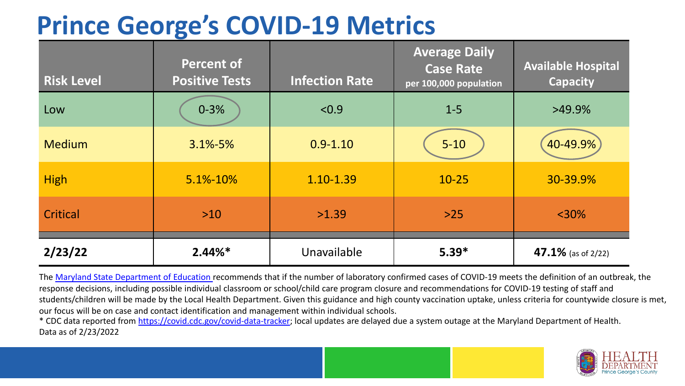## **Prince George's COVID-19 Metrics**

| <b>Risk Level</b> | <b>Percent of</b><br><b>Positive Tests</b> | <b>Infection Rate</b> | <b>Average Daily</b><br><b>Case Rate</b><br>per 100,000 population | <b>Available Hospital</b><br><b>Capacity</b> |
|-------------------|--------------------------------------------|-----------------------|--------------------------------------------------------------------|----------------------------------------------|
| Low               | $0 - 3%$                                   | < 0.9                 | $1 - 5$                                                            | $>49.9\%$                                    |
| <b>Medium</b>     | $3.1\% - 5\%$                              | $0.9 - 1.10$          | $5 - 10$                                                           | 40-49.9%                                     |
| <b>High</b>       | 5.1%-10%                                   | 1.10-1.39             | $10 - 25$                                                          | 30-39.9%                                     |
| Critical          | $>10$                                      | >1.39                 | $>25$                                                              | $<$ 30%                                      |
| 2/23/22           | $2.44\%*$                                  | Unavailable           | $5.39*$                                                            | 47.1% (as of $2/22$ )                        |

The [Maryland State Department of Education](https://earlychildhood.marylandpublicschools.org/system/files/filedepot/3/covid_guidance_full_080420.pdf) recommends that if the number of laboratory confirmed cases of COVID-19 meets the definition of an outbreak, the response decisions, including possible individual classroom or school/child care program closure and recommendations for COVID-19 testing of staff and students/children will be made by the Local Health Department. Given this guidance and high county vaccination uptake, unless criteria for countywide closure is met, our focus will be on case and contact identification and management within individual schools.

\* CDC data reported from <https://covid.cdc.gov/covid-data-tracker>; local updates are delayed due a system outage at the Maryland Department of Health. Data as of 2/23/2022

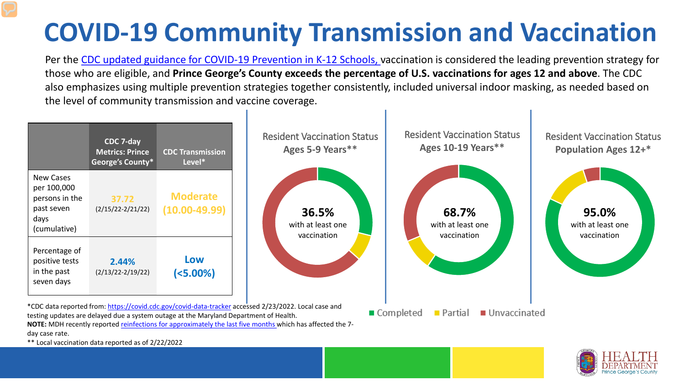## **COVID-19 Community Transmission and Vaccination**

Per the [CDC updated guidance for COVID-19 Prevention in K-12 Schools,](https://www.cdc.gov/coronavirus/2019-ncov/community/schools-childcare/k-12-guidance.html) vaccination is considered the leading prevention strategy for those who are eligible, and **Prince George's County exceeds the percentage of U.S. vaccinations for ages 12 and above**. The CDC also emphasizes using multiple prevention strategies together consistently, included universal indoor masking, as needed based on the level of community transmission and vaccine coverage.



day case rate.

\*\* Local vaccination data reported as of 2/22/2022